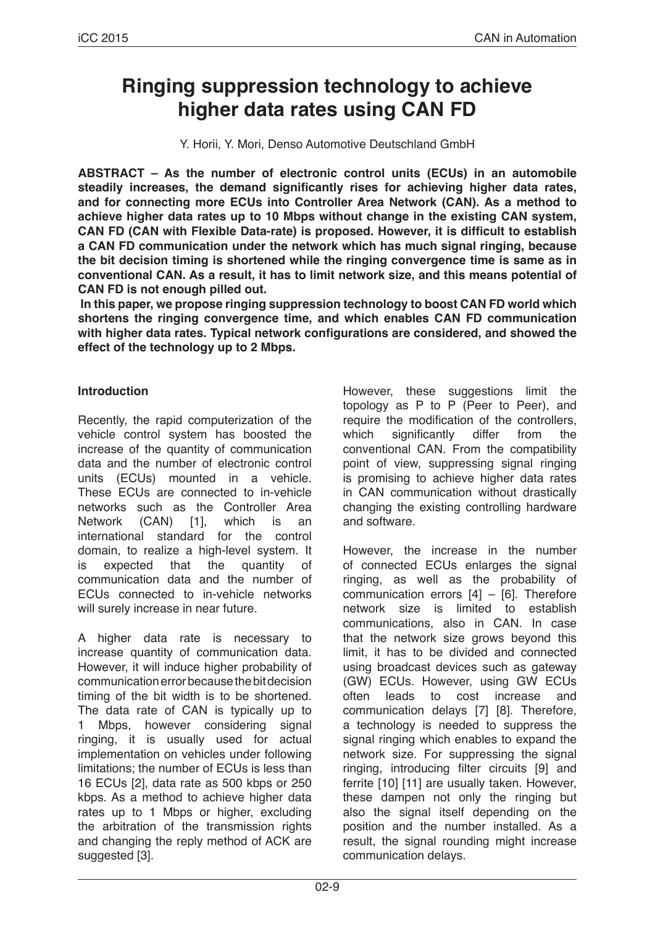# **Ringing suppression technology to achieve higher data rates using CAN FD**

Y. Horii, Y. Mori, Denso Automotive Deutschland GmbH

**ABSTRACT – As the number of electronic control units (ECUs) in an automobile steadily increases, the demand significantly rises for achieving higher data rates, and for connecting more ECUs into Controller Area Network (CAN). As a method to achieve higher data rates up to 10 Mbps without change in the existing CAN system, CAN FD (CAN with Flexible Data-rate) is proposed. However, it is difficult to establish a CAN FD communication under the network which has much signal ringing, because the bit decision timing is shortened while the ringing convergence time is same as in conventional CAN. As a result, it has to limit network size, and this means potential of CAN FD is not enough pilled out.**

**In this paper, we propose ringing suppression technology to boost CAN FD world which shortens the ringing convergence time, and which enables CAN FD communication with higher data rates. Typical network configurations are considered, and showed the effect of the technology up to 2 Mbps.**

### **Introduction**

Recently, the rapid computerization of the vehicle control system has boosted the increase of the quantity of communication data and the number of electronic control units (ECUs) mounted in a vehicle. These ECUs are connected to in-vehicle networks such as the Controller Area Network (CAN) [1], which is an international standard for the control domain, to realize a high-level system. It is expected that the quantity of communication data and the number of ECUs connected to in-vehicle networks will surely increase in near future.

A higher data rate is necessary to increase quantity of communication data. However, it will induce higher probability of communication error because the bit decision timing of the bit width is to be shortened. The data rate of CAN is typically up to 1 Mbps, however considering signal ringing, it is usually used for actual implementation on vehicles under following limitations; the number of ECUs is less than 16 ECUs [2], data rate as 500 kbps or 250 kbps. As a method to achieve higher data rates up to 1 Mbps or higher, excluding the arbitration of the transmission rights and changing the reply method of ACK are suggested [3].

However, these suggestions limit the topology as P to P (Peer to Peer), and require the modification of the controllers, which significantly differ from the conventional CAN. From the compatibility point of view, suppressing signal ringing is promising to achieve higher data rates in CAN communication without drastically changing the existing controlling hardware and software.

However, the increase in the number of connected ECUs enlarges the signal ringing, as well as the probability of communication errors [4] – [6]. Therefore network size is limited to establish communications, also in CAN. In case that the network size grows beyond this limit, it has to be divided and connected using broadcast devices such as gateway (GW) ECUs. However, using GW ECUs often leads to cost increase and communication delays [7] [8]. Therefore, a technology is needed to suppress the signal ringing which enables to expand the network size. For suppressing the signal ringing, introducing filter circuits [9] and ferrite [10] [11] are usually taken. However, these dampen not only the ringing but also the signal itself depending on the position and the number installed. As a result, the signal rounding might increase communication delays.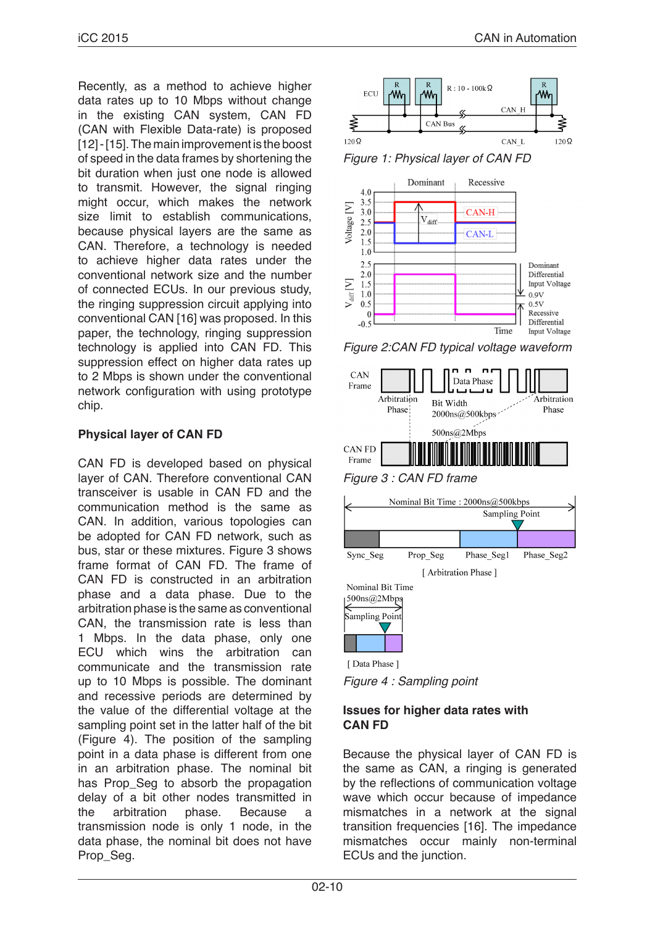Recently, as a method to achieve higher data rates up to 10 Mbps without change in the existing CAN system, CAN FD (CAN with Flexible Data-rate) is proposed [12] - [15]. The main improvement is the boost of speed in the data frames by shortening the bit duration when just one node is allowed to transmit. However, the signal ringing might occur, which makes the network size limit to establish communications, because physical layers are the same as CAN. Therefore, a technology is needed to achieve higher data rates under the conventional network size and the number of connected ECUs. In our previous study, the ringing suppression circuit applying into conventional CAN [16] was proposed. In this paper, the technology, ringing suppression technology is applied into CAN FD. This suppression effect on higher data rates up to 2 Mbps is shown under the conventional network configuration with using prototype chip.

## **Physical layer of CAN FD**

CAN FD is developed based on physical layer of CAN. Therefore conventional CAN transceiver is usable in CAN FD and the communication method is the same as CAN. In addition, various topologies can be adopted for CAN FD network, such as bus, star or these mixtures. Figure 3 shows frame format of CAN FD. The frame of CAN FD is constructed in an arbitration phase and a data phase. Due to the arbitration phase is the same as conventional CAN, the transmission rate is less than 1 Mbps. In the data phase, only one ECU which wins the arbitration can communicate and the transmission rate up to 10 Mbps is possible. The dominant and recessive periods are determined by the value of the differential voltage at the sampling point set in the latter half of the bit (Figure 4). The position of the sampling point in a data phase is different from one in an arbitration phase. The nominal bit has Prop Seg to absorb the propagation delay of a bit other nodes transmitted in<br>the arbitration phase. Because a the arbitration phase. Because a transmission node is only 1 node, in the data phase, the nominal bit does not have Prop\_Seg.



*Figure 1: Physical layer of CAN FD*



*Figure 2:CAN FD typical voltage waveform*



Phase Seg2



[Data Phase] *Figure 4 : Sampling point*

## **Issues for higher data rates with CAN FD**

Because the physical layer of CAN FD is the same as CAN, a ringing is generated by the reflections of communication voltage wave which occur because of impedance mismatches in a network at the signal transition frequencies [16]. The impedance mismatches occur mainly non-terminal ECUs and the junction.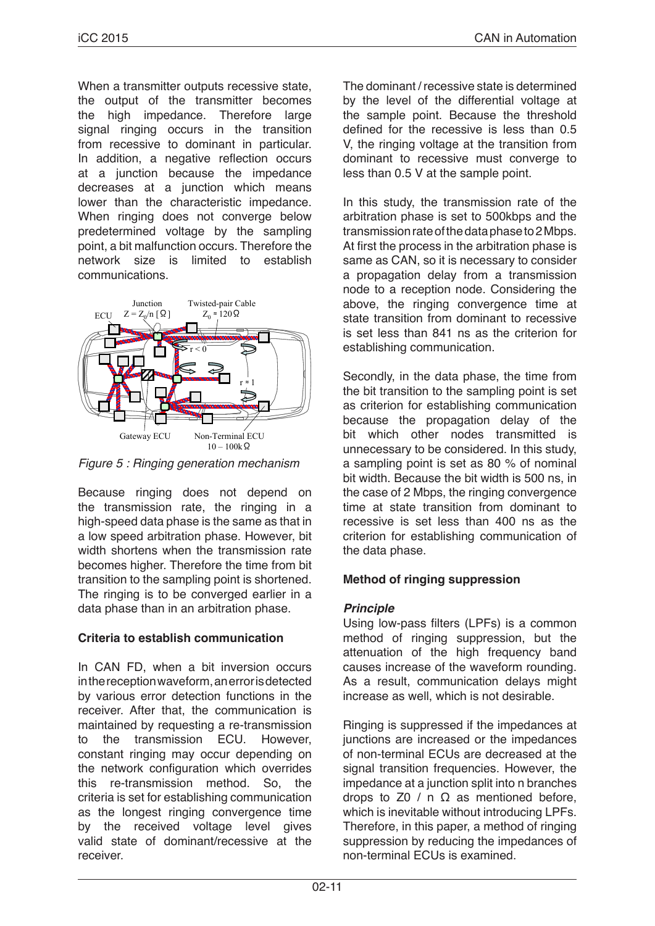When a transmitter outputs recessive state, the output of the transmitter becomes the high impedance. Therefore large signal ringing occurs in the transition from recessive to dominant in particular. In addition, a negative reflection occurs at a junction because the impedance decreases at a junction which means lower than the characteristic impedance. When ringing does not converge below predetermined voltage by the sampling point, a bit malfunction occurs. Therefore the network size is limited to establish communications.



*Figure 5 : Ringing generation mechanism*

Because ringing does not depend on the transmission rate, the ringing in a high-speed data phase is the same as that in a low speed arbitration phase. However, bit width shortens when the transmission rate becomes higher. Therefore the time from bit transition to the sampling point is shortened. The ringing is to be converged earlier in a data phase than in an arbitration phase.

## **Criteria to establish communication**

In CAN FD, when a bit inversion occurs in the reception waveform, an error is detected by various error detection functions in the receiver. After that, the communication is maintained by requesting a re-transmission to the transmission ECU. However, constant ringing may occur depending on the network configuration which overrides this re-transmission method. So, the criteria is set for establishing communication as the longest ringing convergence time by the received voltage level gives valid state of dominant/recessive at the receiver.

The dominant / recessive state is determined by the level of the differential voltage at the sample point. Because the threshold defined for the recessive is less than 0.5 V, the ringing voltage at the transition from dominant to recessive must converge to less than 0.5 V at the sample point.

In this study, the transmission rate of the arbitration phase is set to 500kbps and the transmission rate of the data phase to 2 Mbps. At first the process in the arbitration phase is same as CAN, so it is necessary to consider a propagation delay from a transmission node to a reception node. Considering the above, the ringing convergence time at state transition from dominant to recessive is set less than 841 ns as the criterion for establishing communication.

Secondly, in the data phase, the time from the bit transition to the sampling point is set as criterion for establishing communication because the propagation delay of the bit which other nodes transmitted is unnecessary to be considered. In this study, a sampling point is set as 80 % of nominal bit width. Because the bit width is 500 ns, in the case of 2 Mbps, the ringing convergence time at state transition from dominant to recessive is set less than 400 ns as the criterion for establishing communication of the data phase.

## **Method of ringing suppression**

### *Principle*

Using low-pass filters (LPFs) is a common method of ringing suppression, but the attenuation of the high frequency band causes increase of the waveform rounding. As a result, communication delays might increase as well, which is not desirable.

Ringing is suppressed if the impedances at junctions are increased or the impedances of non-terminal ECUs are decreased at the signal transition frequencies. However, the impedance at a junction split into n branches drops to Z0 / n  $\Omega$  as mentioned before, which is inevitable without introducing LPFs. Therefore, in this paper, a method of ringing suppression by reducing the impedances of non-terminal ECUs is examined.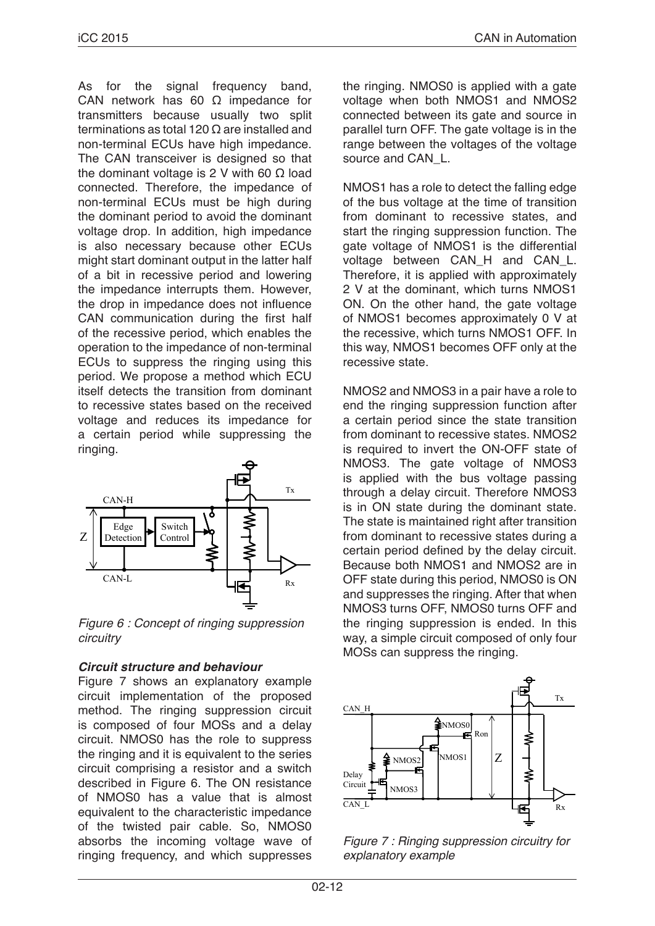As for the signal frequency band, CAN network has 60 Ω impedance for transmitters because usually two split terminations as total 120 Ω are installed and non-terminal ECUs have high impedance. The CAN transceiver is designed so that the dominant voltage is 2 V with 60  $Ω$  load connected. Therefore, the impedance of non-terminal ECUs must be high during the dominant period to avoid the dominant voltage drop. In addition, high impedance is also necessary because other ECUs might start dominant output in the latter half of a bit in recessive period and lowering the impedance interrupts them. However, the drop in impedance does not influence CAN communication during the first half of the recessive period, which enables the operation to the impedance of non-terminal ECUs to suppress the ringing using this period. We propose a method which ECU itself detects the transition from dominant to recessive states based on the received voltage and reduces its impedance for a certain period while suppressing the ringing.



*Figure 6 : Concept of ringing suppression circuitry*

### *Circuit structure and behaviour*

Figure 7 shows an explanatory example circuit implementation of the proposed method. The ringing suppression circuit is composed of four MOSs and a delay circuit. NMOS0 has the role to suppress the ringing and it is equivalent to the series circuit comprising a resistor and a switch described in Figure 6. The ON resistance of NMOS0 has a value that is almost equivalent to the characteristic impedance of the twisted pair cable. So, NMOS0 absorbs the incoming voltage wave of ringing frequency, and which suppresses the ringing. NMOS0 is applied with a gate voltage when both NMOS1 and NMOS2 connected between its gate and source in parallel turn OFF. The gate voltage is in the range between the voltages of the voltage source and CAN L.

NMOS1 has a role to detect the falling edge of the bus voltage at the time of transition from dominant to recessive states, and start the ringing suppression function. The gate voltage of NMOS1 is the differential voltage between CAN\_H and CAN\_L. Therefore, it is applied with approximately 2 V at the dominant, which turns NMOS1 ON. On the other hand, the gate voltage of NMOS1 becomes approximately 0 V at the recessive, which turns NMOS1 OFF. In this way, NMOS1 becomes OFF only at the recessive state.

NMOS2 and NMOS3 in a pair have a role to end the ringing suppression function after a certain period since the state transition from dominant to recessive states. NMOS2 is required to invert the ON-OFF state of NMOS3. The gate voltage of NMOS3 is applied with the bus voltage passing through a delay circuit. Therefore NMOS3 is in ON state during the dominant state. The state is maintained right after transition from dominant to recessive states during a certain period defined by the delay circuit. Because both NMOS1 and NMOS2 are in OFF state during this period, NMOS0 is ON and suppresses the ringing. After that when NMOS3 turns OFF, NMOS0 turns OFF and the ringing suppression is ended. In this way, a simple circuit composed of only four MOSs can suppress the ringing.



*Figure 7 : Ringing suppression circuitry for explanatory example*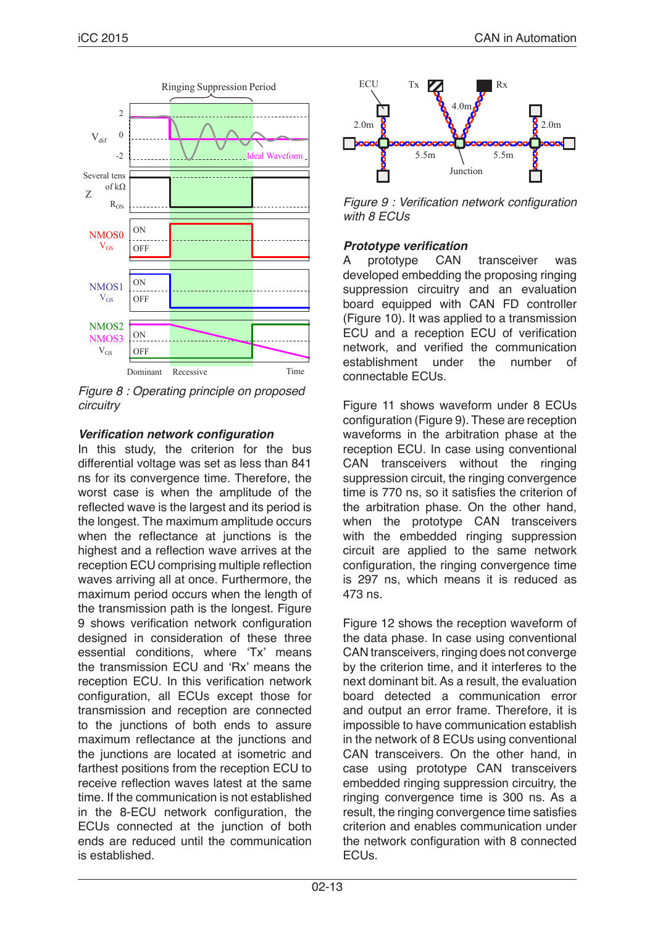

*Figure 8 : Operating principle on proposed circuitry*

## **Verification network configuration**

In this study, the criterion for the bus differential voltage was set as less than 841 ns for its convergence time. Therefore, the worst case is when the amplitude of the reflected wave is the largest and its period is the longest. The maximum amplitude occurs when the reflectance at iunctions is the highest and a reflection wave arrives at the reception ECU comprising multiple reflection waves arriving all at once. Furthermore, the maximum period occurs when the length of the transmission path is the longest. Figure 9 shows verification network configuration designed in consideration of these three essential conditions, where 'Tx' means the transmission ECU and 'Rx' means the reception ECU. In this verification network configuration, all ECUs except those for transmission and reception are connected to the junctions of both ends to assure maximum reflectance at the junctions and the junctions are located at isometric and farthest positions from the reception ECU to receive reflection waves latest at the same time. If the communication is not established in the 8-ECU network configuration, the ECUs connected at the junction of both ends are reduced until the communication is established.



Figure 9 : Verification network configuration *with 8 ECUs*

## **Prototype verification**

A prototype CAN transceiver was developed embedding the proposing ringing suppression circuitry and an evaluation board equipped with CAN FD controller (Figure 10). It was applied to a transmission ECU and a reception ECU of verification network, and verified the communication establishment under the number of connectable ECUs.

Figure 11 shows waveform under 8 ECUs configuration (Figure 9). These are reception waveforms in the arbitration phase at the reception ECU. In case using conventional CAN transceivers without the ringing suppression circuit, the ringing convergence time is 770 ns, so it satisfies the criterion of the arbitration phase. On the other hand, when the prototype CAN transceivers with the embedded ringing suppression circuit are applied to the same network configuration, the ringing convergence time is 297 ns, which means it is reduced as 473 ns.

Figure 12 shows the reception waveform of the data phase. In case using conventional CAN transceivers, ringing does not converge by the criterion time, and it interferes to the next dominant bit. As a result, the evaluation board detected a communication error and output an error frame. Therefore, it is impossible to have communication establish in the network of 8 ECUs using conventional CAN transceivers. On the other hand, in case using prototype CAN transceivers embedded ringing suppression circuitry, the ringing convergence time is 300 ns. As a result, the ringing convergence time satisfies criterion and enables communication under the network configuration with 8 connected ECUs.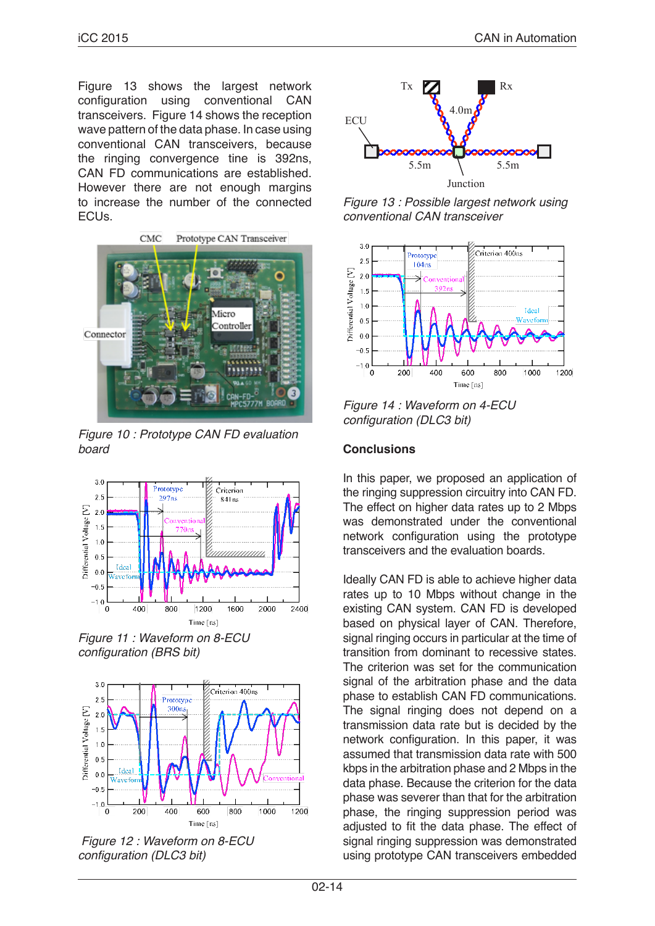Figure 13 shows the largest network<br>configuration using conventional CAN configuration using conventional CAN transceivers. Figure 14 shows the reception wave pattern of the data phase. In case using conventional CAN transceivers, because the ringing convergence tine is 392ns, CAN FD communications are established. However there are not enough margins to increase the number of the connected ECUs.



*Figure 10 : Prototype CAN FD evaluation board*



*Figure 11 : Waveform on 8-ECU*  configuration (BRS bit)



 *Figure 12 : Waveform on 8-ECU*  configuration (DLC3 bit)



*Figure 13 : Possible largest network using conventional CAN transceiver*



*Figure 14 : Waveform on 4-ECU*  configuration (DLC3 bit)

### **Conclusions**

In this paper, we proposed an application of the ringing suppression circuitry into CAN FD. The effect on higher data rates up to 2 Mbps was demonstrated under the conventional network configuration using the prototype transceivers and the evaluation boards.

Ideally CAN FD is able to achieve higher data rates up to 10 Mbps without change in the existing CAN system. CAN FD is developed based on physical layer of CAN. Therefore, signal ringing occurs in particular at the time of transition from dominant to recessive states. The criterion was set for the communication signal of the arbitration phase and the data phase to establish CAN FD communications. The signal ringing does not depend on a transmission data rate but is decided by the network configuration. In this paper, it was assumed that transmission data rate with 500 kbps in the arbitration phase and 2 Mbps in the data phase. Because the criterion for the data phase was severer than that for the arbitration phase, the ringing suppression period was adjusted to fit the data phase. The effect of signal ringing suppression was demonstrated using prototype CAN transceivers embedded